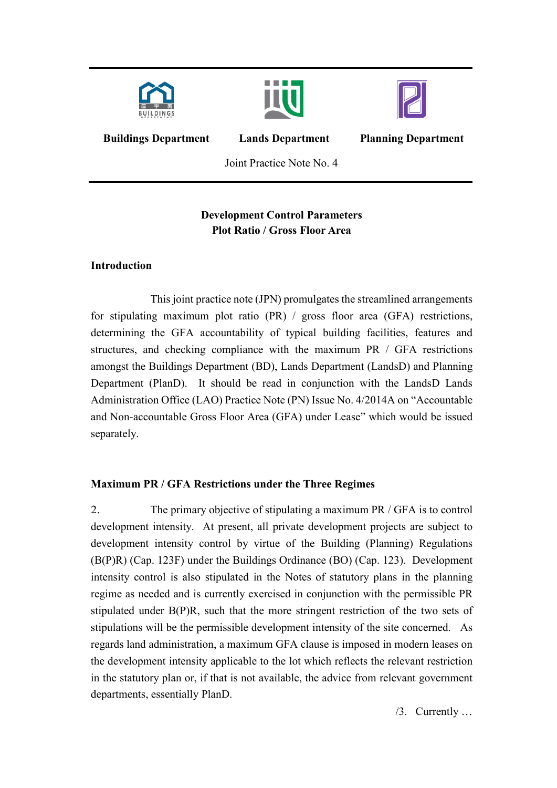





**Buildings Department Lands Department**

**Planning Department**

Joint Practice Note No. 4

## **Development Control Parameters Plot Ratio / Gross Floor Area**

## **Introduction**

This joint practice note (JPN) promulgates the streamlined arrangements for stipulating maximum plot ratio (PR) / gross floor area (GFA) restrictions, determining the GFA accountability of typical building facilities, features and structures, and checking compliance with the maximum PR / GFA restrictions amongst the Buildings Department (BD), Lands Department (LandsD) and Planning Department (PlanD). It should be read in conjunction with the LandsD Lands Administration Office (LAO) Practice Note (PN) Issue No. 4/2014A on "Accountable and Non-accountable Gross Floor Area (GFA) under Lease" which would be issued separately.

## **Maximum PR / GFA Restrictions under the Three Regimes**

2. The primary objective of stipulating a maximum PR / GFA is to control development intensity. At present, all private development projects are subject to development intensity control by virtue of the Building (Planning) Regulations (B(P)R) (Cap. 123F) under the Buildings Ordinance (BO) (Cap. 123). Development intensity control is also stipulated in the Notes of statutory plans in the planning regime as needed and is currently exercised in conjunction with the permissible PR stipulated under B(P)R, such that the more stringent restriction of the two sets of stipulations will be the permissible development intensity of the site concerned. As regards land administration, a maximum GFA clause is imposed in modern leases on the development intensity applicable to the lot which reflects the relevant restriction in the statutory plan or, if that is not available, the advice from relevant government departments, essentially PlanD.

/3. Currently …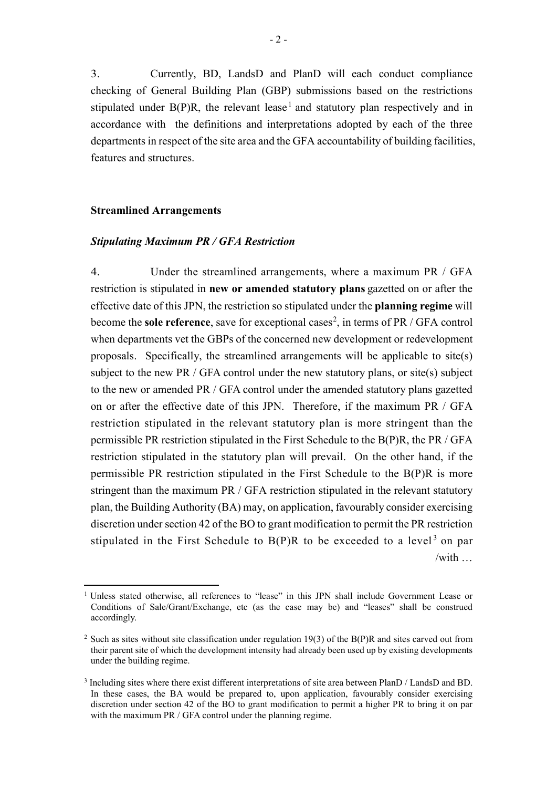3. Currently, BD, LandsD and PlanD will each conduct compliance checking of General Building Plan (GBP) submissions based on the restrictions stipulated under  $B(P)R$ , the relevant lease<sup>[1](#page-1-0)</sup> and statutory plan respectively and in accordance with the definitions and interpretations adopted by each of the three departments in respect of the site area and the GFA accountability of building facilities, features and structures.

#### **Streamlined Arrangements**

1

#### *Stipulating Maximum PR / GFA Restriction*

4. Under the streamlined arrangements, where a maximum PR / GFA restriction is stipulated in **new or amended statutory plans** gazetted on or after the effective date of this JPN, the restriction so stipulated under the **planning regime** will become the **sole reference**, save for exceptional cases<sup>[2](#page-1-1)</sup>, in terms of PR / GFA control when departments vet the GBPs of the concerned new development or redevelopment proposals. Specifically, the streamlined arrangements will be applicable to site(s) subject to the new PR / GFA control under the new statutory plans, or site(s) subject to the new or amended PR / GFA control under the amended statutory plans gazetted on or after the effective date of this JPN. Therefore, if the maximum PR / GFA restriction stipulated in the relevant statutory plan is more stringent than the permissible PR restriction stipulated in the First Schedule to the B(P)R, the PR / GFA restriction stipulated in the statutory plan will prevail. On the other hand, if the permissible PR restriction stipulated in the First Schedule to the B(P)R is more stringent than the maximum PR / GFA restriction stipulated in the relevant statutory plan, the Building Authority (BA) may, on application, favourably consider exercising discretion under section 42 of the BO to grant modification to permit the PR restriction stipulated in the First Schedule to  $B(P)R$  to be exceeded to a level<sup>[3](#page-1-2)</sup> on par /with …

<span id="page-1-0"></span><sup>&</sup>lt;sup>1</sup> Unless stated otherwise, all references to "lease" in this JPN shall include Government Lease or Conditions of Sale/Grant/Exchange, etc (as the case may be) and "leases" shall be construed accordingly.

<span id="page-1-1"></span><sup>&</sup>lt;sup>2</sup> Such as sites without site classification under regulation 19(3) of the B(P)R and sites carved out from their parent site of which the development intensity had already been used up by existing developments under the building regime.

<span id="page-1-2"></span><sup>3</sup> Including sites where there exist different interpretations of site area between PlanD / LandsD and BD. In these cases, the BA would be prepared to, upon application, favourably consider exercising discretion under section 42 of the BO to grant modification to permit a higher PR to bring it on par with the maximum PR / GFA control under the planning regime.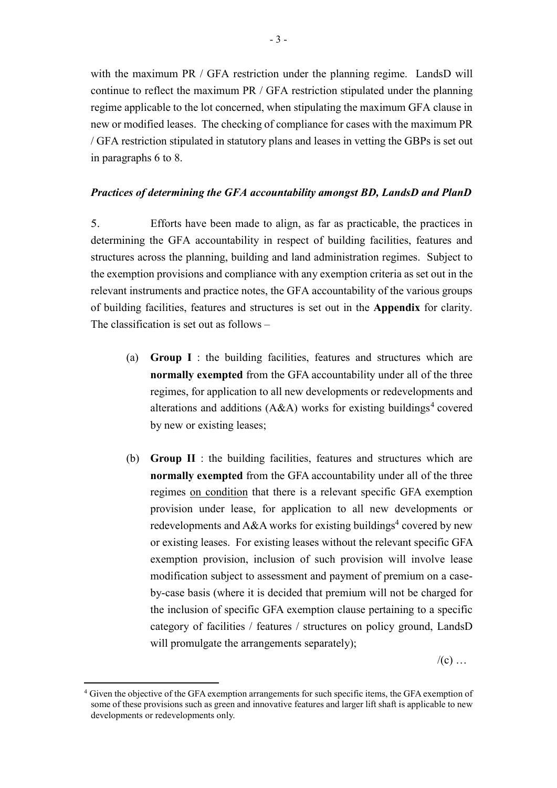with the maximum PR / GFA restriction under the planning regime. LandsD will continue to reflect the maximum PR / GFA restriction stipulated under the planning regime applicable to the lot concerned, when stipulating the maximum GFA clause in new or modified leases. The checking of compliance for cases with the maximum PR / GFA restriction stipulated in statutory plans and leases in vetting the GBPs is set out in paragraphs 6 to 8.

#### *Practices of determining the GFA accountability amongst BD, LandsD and PlanD*

5. Efforts have been made to align, as far as practicable, the practices in determining the GFA accountability in respect of building facilities, features and structures across the planning, building and land administration regimes. Subject to the exemption provisions and compliance with any exemption criteria as set out in the relevant instruments and practice notes, the GFA accountability of the various groups of building facilities, features and structures is set out in the **Appendix** for clarity. The classification is set out as follows –

- (a) **Group I** : the building facilities, features and structures which are **normally exempted** from the GFA accountability under all of the three regimes, for application to all new developments or redevelopments and alterations and additions (A&A) works for existing buildings<sup>[4](#page-2-0)</sup> covered by new or existing leases;
- (b) **Group II** : the building facilities, features and structures which are **normally exempted** from the GFA accountability under all of the three regimes on condition that there is a relevant specific GFA exemption provision under lease, for application to all new developments or redevelopments and A&A works for existing buildings<sup>4</sup> covered by new or existing leases. For existing leases without the relevant specific GFA exemption provision, inclusion of such provision will involve lease modification subject to assessment and payment of premium on a caseby-case basis (where it is decided that premium will not be charged for the inclusion of specific GFA exemption clause pertaining to a specific category of facilities / features / structures on policy ground, LandsD will promulgate the arrangements separately);

 $/(c)$  ...

<span id="page-2-0"></span><sup>4</sup> Given the objective of the GFA exemption arrangements for such specific items, the GFA exemption of some of these provisions such as green and innovative features and larger lift shaft is applicable to new developments or redevelopments only.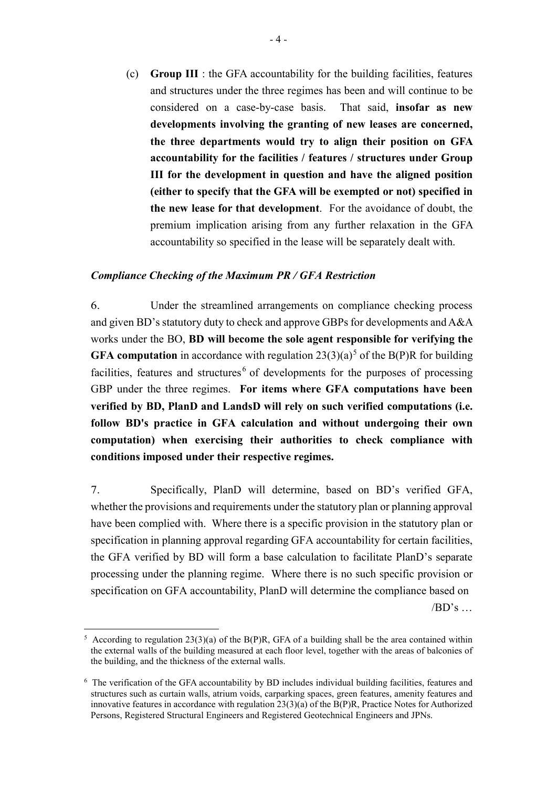(c) **Group III** : the GFA accountability for the building facilities, features and structures under the three regimes has been and will continue to be considered on a case-by-case basis. That said, **insofar as new developments involving the granting of new leases are concerned, the three departments would try to align their position on GFA accountability for the facilities / features / structures under Group III for the development in question and have the aligned position (either to specify that the GFA will be exempted or not) specified in the new lease for that development**. For the avoidance of doubt, the premium implication arising from any further relaxation in the GFA accountability so specified in the lease will be separately dealt with.

#### *Compliance Checking of the Maximum PR / GFA Restriction*

6. Under the streamlined arrangements on compliance checking process and given BD's statutory duty to check and approve GBPs for developments and A&A works under the BO, **BD will become the sole agent responsible for verifying the GFA computation** in accordance with regulation  $23(3)(a)^5$  $23(3)(a)^5$  of the B(P)R for building facilities, features and structures  $\epsilon$  of developments for the purposes of processing GBP under the three regimes. **For items where GFA computations have been verified by BD, PlanD and LandsD will rely on such verified computations (i.e. follow BD's practice in GFA calculation and without undergoing their own computation) when exercising their authorities to check compliance with conditions imposed under their respective regimes.**

7. Specifically, PlanD will determine, based on BD's verified GFA, whether the provisions and requirements under the statutory plan or planning approval have been complied with. Where there is a specific provision in the statutory plan or specification in planning approval regarding GFA accountability for certain facilities, the GFA verified by BD will form a base calculation to facilitate PlanD's separate processing under the planning regime. Where there is no such specific provision or specification on GFA accountability, PlanD will determine the compliance based on

 $/BD's...$ 

<span id="page-3-0"></span><sup>&</sup>lt;sup>5</sup> According to regulation 23(3)(a) of the B(P)R, GFA of a building shall be the area contained within the external walls of the building measured at each floor level, together with the areas of balconies of the building, and the thickness of the external walls.

<span id="page-3-1"></span><sup>6</sup> The verification of the GFA accountability by BD includes individual building facilities, features and structures such as curtain walls, atrium voids, carparking spaces, green features, amenity features and innovative features in accordance with regulation 23(3)(a) of the B(P)R, Practice Notes for Authorized Persons, Registered Structural Engineers and Registered Geotechnical Engineers and JPNs.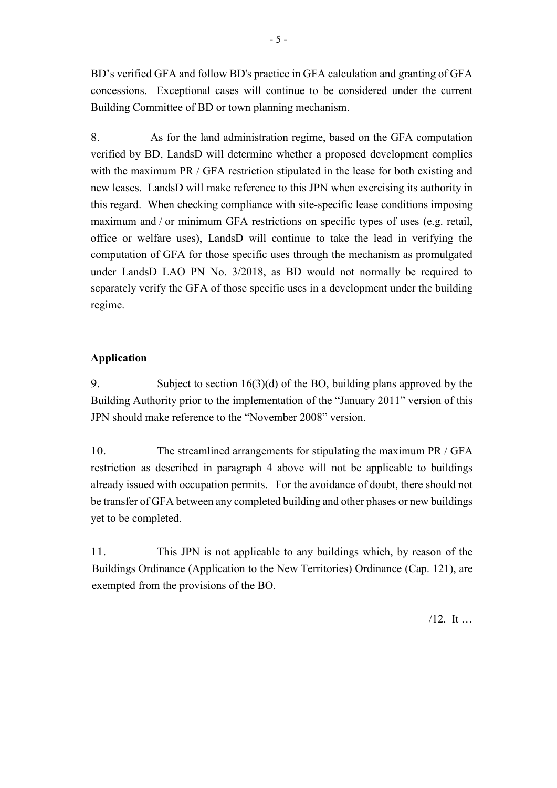BD's verified GFA and follow BD's practice in GFA calculation and granting of GFA concessions. Exceptional cases will continue to be considered under the current Building Committee of BD or town planning mechanism.

8. As for the land administration regime, based on the GFA computation verified by BD, LandsD will determine whether a proposed development complies with the maximum PR / GFA restriction stipulated in the lease for both existing and new leases. LandsD will make reference to this JPN when exercising its authority in this regard. When checking compliance with site-specific lease conditions imposing maximum and / or minimum GFA restrictions on specific types of uses (e.g. retail, office or welfare uses), LandsD will continue to take the lead in verifying the computation of GFA for those specific uses through the mechanism as promulgated under LandsD LAO PN No. 3/2018, as BD would not normally be required to separately verify the GFA of those specific uses in a development under the building regime.

### **Application**

9. Subject to section 16(3)(d) of the BO, building plans approved by the Building Authority prior to the implementation of the "January 2011" version of this JPN should make reference to the "November 2008" version.

10. The streamlined arrangements for stipulating the maximum PR / GFA restriction as described in paragraph 4 above will not be applicable to buildings already issued with occupation permits. For the avoidance of doubt, there should not be transfer of GFA between any completed building and other phases or new buildings yet to be completed.

11. This JPN is not applicable to any buildings which, by reason of the Buildings Ordinance (Application to the New Territories) Ordinance (Cap. 121), are exempted from the provisions of the BO.

/12. It …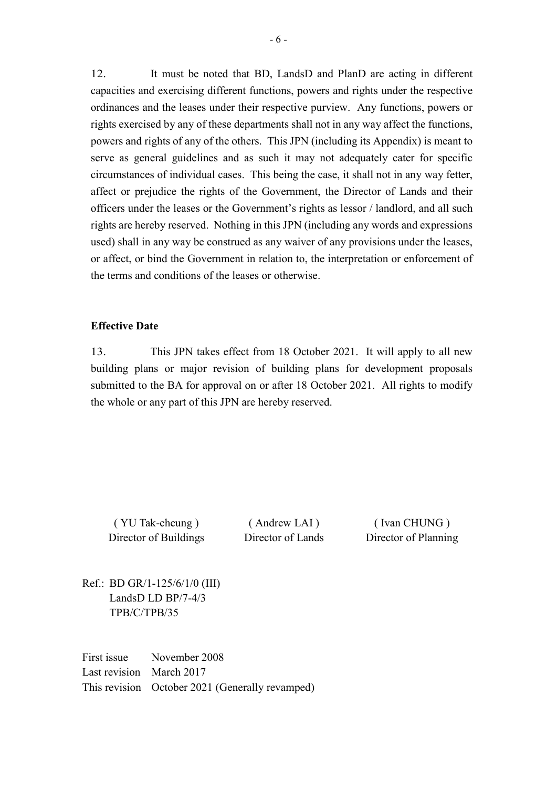12. It must be noted that BD, LandsD and PlanD are acting in different capacities and exercising different functions, powers and rights under the respective ordinances and the leases under their respective purview. Any functions, powers or rights exercised by any of these departments shall not in any way affect the functions, powers and rights of any of the others. This JPN (including its Appendix) is meant to serve as general guidelines and as such it may not adequately cater for specific circumstances of individual cases. This being the case, it shall not in any way fetter, affect or prejudice the rights of the Government, the Director of Lands and their officers under the leases or the Government's rights as lessor / landlord, and all such rights are hereby reserved. Nothing in this JPN (including any words and expressions used) shall in any way be construed as any waiver of any provisions under the leases, or affect, or bind the Government in relation to, the interpretation or enforcement of the terms and conditions of the leases or otherwise.

#### **Effective Date**

13. This JPN takes effect from 18 October 2021. It will apply to all new building plans or major revision of building plans for development proposals submitted to the BA for approval on or after 18 October 2021. All rights to modify the whole or any part of this JPN are hereby reserved.

( YU Tak-cheung ) ( Andrew LAI ) ( Ivan CHUNG ) Director of Buildings Director of Lands Director of Planning

Ref.: BD GR/1-125/6/1/0 (III) LandsD LD BP/7-4/3 TPB/C/TPB/35

First issue November 2008 Last revision March 2017 This revision October 2021 (Generally revamped)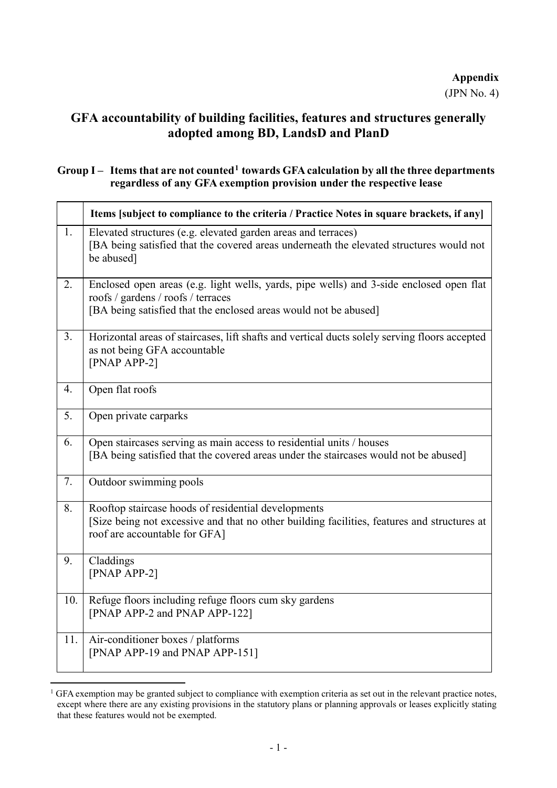# **GFA accountability of building facilities, features and structures generally adopted among BD, LandsD and PlanD**

## **Group I – Items that are not counted[1](#page-6-0) towards GFA calculation by all the three departments regardless of any GFA exemption provision under the respective lease**

|     | Items [subject to compliance to the criteria / Practice Notes in square brackets, if any]                                                                                                         |
|-----|---------------------------------------------------------------------------------------------------------------------------------------------------------------------------------------------------|
| 1.  | Elevated structures (e.g. elevated garden areas and terraces)<br>[BA being satisfied that the covered areas underneath the elevated structures would not<br>be abused]                            |
| 2.  | Enclosed open areas (e.g. light wells, yards, pipe wells) and 3-side enclosed open flat<br>roofs / gardens / roofs / terraces<br>[BA being satisfied that the enclosed areas would not be abused] |
| 3.  | Horizontal areas of staircases, lift shafts and vertical ducts solely serving floors accepted<br>as not being GFA accountable<br>$[PNAP APP-2]$                                                   |
| 4.  | Open flat roofs                                                                                                                                                                                   |
| 5.  | Open private carparks                                                                                                                                                                             |
| 6.  | Open staircases serving as main access to residential units / houses<br>[BA being satisfied that the covered areas under the staircases would not be abused]                                      |
| 7.  | Outdoor swimming pools                                                                                                                                                                            |
| 8.  | Rooftop staircase hoods of residential developments<br>[Size being not excessive and that no other building facilities, features and structures at<br>roof are accountable for GFA]               |
| 9.  | Claddings<br>[PNAP APP-2]                                                                                                                                                                         |
| 10. | Refuge floors including refuge floors cum sky gardens<br>[PNAP APP-2 and PNAP APP-122]                                                                                                            |
| 11. | Air-conditioner boxes / platforms<br>[PNAP APP-19 and PNAP APP-151]                                                                                                                               |

<span id="page-6-0"></span> $1$  GFA exemption may be granted subject to compliance with exemption criteria as set out in the relevant practice notes, except where there are any existing provisions in the statutory plans or planning approvals or leases explicitly stating that these features would not be exempted.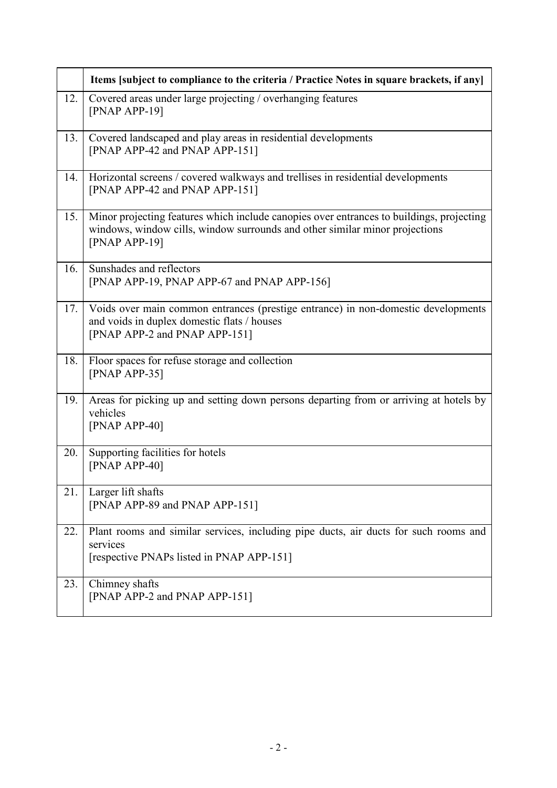|     | Items [subject to compliance to the criteria / Practice Notes in square brackets, if any]                                                                                                  |
|-----|--------------------------------------------------------------------------------------------------------------------------------------------------------------------------------------------|
| 12. | Covered areas under large projecting / overhanging features<br>$[PNAP APP-19]$                                                                                                             |
| 13. | Covered landscaped and play areas in residential developments<br>[PNAP APP-42 and PNAP APP-151]                                                                                            |
| 14. | Horizontal screens / covered walkways and trellises in residential developments<br>[PNAP APP-42 and PNAP APP-151]                                                                          |
| 15. | Minor projecting features which include canopies over entrances to buildings, projecting<br>windows, window cills, window surrounds and other similar minor projections<br>$[PNAP APP-19]$ |
| 16. | Sunshades and reflectors<br>[PNAP APP-19, PNAP APP-67 and PNAP APP-156]                                                                                                                    |
| 17. | Voids over main common entrances (prestige entrance) in non-domestic developments<br>and voids in duplex domestic flats / houses<br>[PNAP APP-2 and PNAP APP-151]                          |
| 18. | Floor spaces for refuse storage and collection<br>$[PNAP APP-35]$                                                                                                                          |
| 19. | Areas for picking up and setting down persons departing from or arriving at hotels by<br>vehicles<br>$[PNAP APP-40]$                                                                       |
| 20. | Supporting facilities for hotels<br>$[PNAP APP-40]$                                                                                                                                        |
| 21. | Larger lift shafts<br>[PNAP APP-89 and PNAP APP-151]                                                                                                                                       |
| 22. | Plant rooms and similar services, including pipe ducts, air ducts for such rooms and<br>services<br>[respective PNAPs listed in PNAP APP-151]                                              |
| 23. | Chimney shafts<br>[PNAP APP-2 and PNAP APP-151]                                                                                                                                            |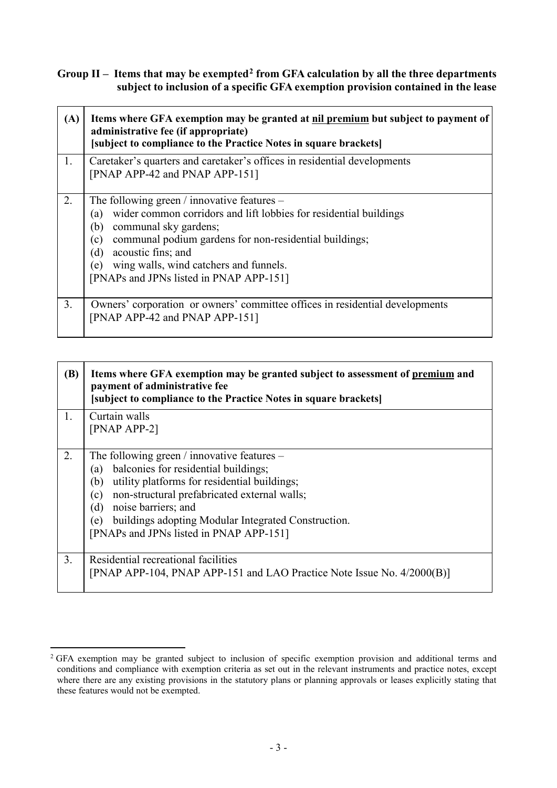**Group II – Items that may be exempted[2](#page-8-0) from GFA calculation by all the three departments subject to inclusion of a specific GFA exemption provision contained in the lease**

| (A) | Items where GFA exemption may be granted at nil premium but subject to payment of<br>administrative fee (if appropriate)<br>[subject to compliance to the Practice Notes in square brackets]                                                                                                                                                        |
|-----|-----------------------------------------------------------------------------------------------------------------------------------------------------------------------------------------------------------------------------------------------------------------------------------------------------------------------------------------------------|
| 1.  | Caretaker's quarters and caretaker's offices in residential developments<br>[PNAP APP-42 and PNAP APP-151]                                                                                                                                                                                                                                          |
| 2.  | The following green / innovative features $-$<br>wider common corridors and lift lobbies for residential buildings<br>(a)<br>communal sky gardens;<br>(b)<br>communal podium gardens for non-residential buildings;<br>(c)<br>acoustic fins; and<br>(d)<br>wing walls, wind catchers and funnels.<br>(e)<br>[PNAPs and JPNs listed in PNAP APP-151] |
| 3.  | Owners' corporation or owners' committee offices in residential developments<br>[PNAP APP-42 and PNAP APP-151]                                                                                                                                                                                                                                      |

| (B) | Items where GFA exemption may be granted subject to assessment of premium and<br>payment of administrative fee<br>[subject to compliance to the Practice Notes in square brackets] |
|-----|------------------------------------------------------------------------------------------------------------------------------------------------------------------------------------|
| 1.  | Curtain walls                                                                                                                                                                      |
|     | $[PNAP APP-2]$                                                                                                                                                                     |
| 2.  | The following green / innovative features $-$                                                                                                                                      |
|     | balconies for residential buildings;<br>(a)                                                                                                                                        |
|     | utility platforms for residential buildings;<br>(b)                                                                                                                                |
|     | non-structural prefabricated external walls;<br>(c)                                                                                                                                |
|     | noise barriers; and<br>(d)                                                                                                                                                         |
|     | buildings adopting Modular Integrated Construction.<br>(e)                                                                                                                         |
|     | [PNAPs and JPNs listed in PNAP APP-151]                                                                                                                                            |
| 3.  | Residential recreational facilities                                                                                                                                                |
|     | [PNAP APP-104, PNAP APP-151 and LAO Practice Note Issue No. 4/2000(B)]                                                                                                             |

<span id="page-8-0"></span><sup>&</sup>lt;sup>2</sup> GFA exemption may be granted subject to inclusion of specific exemption provision and additional terms and conditions and compliance with exemption criteria as set out in the relevant instruments and practice notes, except where there are any existing provisions in the statutory plans or planning approvals or leases explicitly stating that these features would not be exempted.